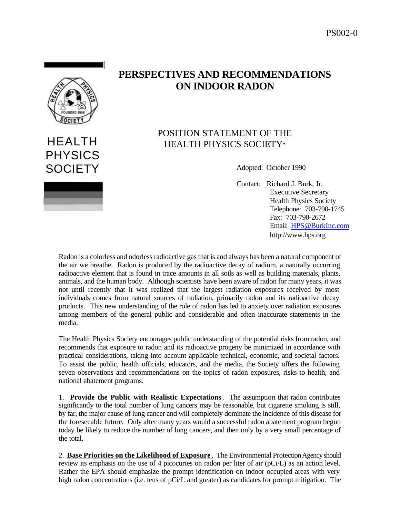

## HEALTH PHYSICS SOCIETY Adopted: October 1990

## **PERSPECTIVES AND RECOMMENDATIONS ON INDOOR RADON**

## POSITION STATEMENT OF THE HEALTH PHYSICS SOCIETY\*

Contact: Richard J. Burk, Jr. Executive Secretary Health Physics Society Telephone: 703-790-1745 Fax: 703-790-2672 Email: HPS@BurkInc.com http://www.hps.org

Radon is a colorless and odorless radioactive gas that is and always has been a natural component of the air we breathe. Radon is produced by the radioactive decay of radium, a naturally occurring radioactive element that is found in trace amounts in all soils as well as building materials, plants, animals, and the human body. Although scientists have been aware of radon for many years, it was not until recently that it was realized that the largest radiation exposures received by most individuals comes from natural sources of radiation, primarily radon and its radioactive decay products. This new understanding of the role of radon has led to anxiety over radiation exposures among members of the general public and considerable and often inaccurate statements in the media.

The Health Physics Society encourages public understanding of the potential risks from radon, and recommends that exposure to radon and its radioactive progeny be minimized in accordance with practical considerations, taking into account applicable technical, economic, and societal factors. To assist the public, health officials, educators, and the media, the Society offers the following seven observations and recommendations on the topics of radon exposures, risks to health, and national abatement programs.

1. **Provide the Public with Realistic Expectations**. The assumption that radon contributes significantly to the total number of lung cancers may be reasonable, but cigarette smoking is still, by far, the major cause of lung cancer and will completely dominate the incidence of this disease for the foreseeable future. Only after many years would a successful radon abatement program begun today be likely to reduce the number of lung cancers, and then only by a very small percentage of the total.

2. **Base Priorities on the Likelihood of Exposure** . The Environmental Protection Agency should review its emphasis on the use of 4 picocuries on radon per liter of air (pCi/L) as an action level. Rather the EPA should emphasize the prompt identification on indoor occupied areas with very high radon concentrations (i.e. tens of pCi/L and greater) as candidates for prompt mitigation. The